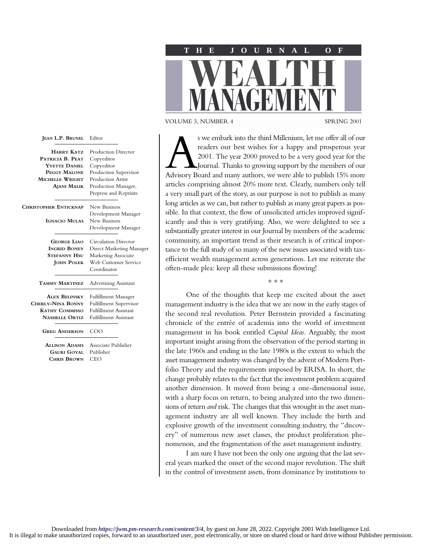

VOLUME 3, NUMBER 4 SPRING 2001

s we embark into the third Millenium, let me offer all of our readers our best wishes for a happy and prosperous year 2001. The year 2000 proved to be a very good year for the Modvisory Board and many authors, we were able readers our best wishes for a happy and prosperous year 2001. The year 2000 proved to be a very good year for the Journal. Thanks to growing support by the members of our articles comprising almost 20% more text. Clearly, numbers only tell a very small part of the story, as our purpose is not to publish as many long articles as we can, but rather to publish as many great papers as possible. In that context, the flow of unsolicited articles improved significantly and this is very gratifying. Also, we were delighted to see a substantially greater interest in our Journal by members of the academic community, an important trend as their research is of critical importance to the full study of so many of the new issues associated with taxefficient wealth management across generations. Let me reiterate the often-made plea: keep all these submissions flowing!

∗∗∗

One of the thoughts that keep me excited about the asset management industry is the idea that we are now in the early stages of the second real revolution. Peter Bernstein provided a fascinating chronicle of the entrée of academia into the world of investment management in his book entitled *Capital Ideas*. Arguably, the most important insight arising from the observation of the period starting in the late 1960s and ending in the late 1980s is the extent to which the asset management industry was changed by the advent of Modern Portfolio Theory and the requirements imposed by ERISA. In short, the change probably relates to the fact that the investment problem acquired another dimension. It moved from being a one-dimensional issue, with a sharp focus on return, to being analyzed into the two dimensions of return *and* risk. The changes that this wrought in the asset management industry are all well known. They include the birth and explosive growth of the investment consulting industry, the "discovery" of numerous new asset classes, the product proliferation phenomenon, and the fragmentation of the asset management industry.

I am sure I have not been the only one arguing that the last several years marked the onset of the second major revolution. The shift in the control of investment assets, from dominance by institutions to

| <b>HARRY KATZ</b>            | <b>Production Director</b>   |
|------------------------------|------------------------------|
| PATRICIA B. PEAT             | Copyeditor                   |
| YVETTE DANIEL                | Copyeditor                   |
| PEGGY MALONE                 | Production Supervisor        |
| MICHELLE WRIGHT              | Production Artist            |
| <b>AJANI MALIK</b>           | Production Manager,          |
|                              | Prepress and Reprints        |
| <b>CHRISTOPHER ENTICKNAP</b> | New Business                 |
|                              | Development Manager          |
| <b>IGNACIO MULAS</b>         | <b>New Business</b>          |
|                              | Development Manager          |
| <b>GEORGE LIAO</b>           | <b>Circulation Director</b>  |
| <b>INGRID BONEY</b>          | Direct Marketing Manager     |
| <b>STEFANNY HSU</b>          | <b>Marketing Associate</b>   |
| <b>JOHN POLEK</b>            | Web Customer Service         |
|                              | Coordinator                  |
| <b>TAMMY MARTINEZ</b>        | <b>Advertising Assistant</b> |
| <b>ALEX BELINSKY</b>         | Fulfillment Manager          |
| CHERLY-NINA BONNY            | Fulfillment Supervisor       |
| <b>KATHY COMMISSO</b>        | <b>Fulfillment Assistant</b> |
| <b>NASHELLE ORTIZ</b>        | <b>Fulfillment Assistant</b> |
| <b>GREG ANDERSON</b>         | COO                          |
| <b>ALLISON ADAMS</b>         | Associate Publisher          |
| Gauri Goyal                  | Publisher                    |
| <b>CHRIS BROWN</b>           | CEO                          |

**JEAN L.P. BRUNEL** Editor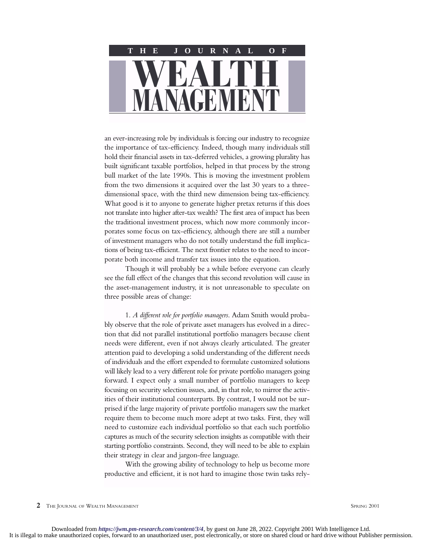

an ever-increasing role by individuals is forcing our industry to recognize the importance of tax-efficiency. Indeed, though many individuals still hold their financial assets in tax-deferred vehicles, a growing plurality has built significant taxable portfolios, helped in that process by the strong bull market of the late 1990s. This is moving the investment problem from the two dimensions it acquired over the last 30 years to a threedimensional space, with the third new dimension being tax-efficiency. What good is it to anyone to generate higher pretax returns if this does not translate into higher after-tax wealth? The first area of impact has been the traditional investment process, which now more commonly incorporates some focus on tax-efficiency, although there are still a number of investment managers who do not totally understand the full implications of being tax-efficient. The next frontier relates to the need to incorporate both income and transfer tax issues into the equation.

Though it will probably be a while before everyone can clearly see the full effect of the changes that this second revolution will cause in the asset-management industry, it is not unreasonable to speculate on three possible areas of change:

1. *A different role for portfolio managers*. Adam Smith would probably observe that the role of private asset managers has evolved in a direction that did not parallel institutional portfolio managers because client needs were different, even if not always clearly articulated. The greater attention paid to developing a solid understanding of the different needs of individuals and the effort expended to formulate customized solutions will likely lead to a very different role for private portfolio managers going forward. I expect only a small number of portfolio managers to keep focusing on security selection issues, and, in that role, to mirror the activities of their institutional counterparts. By contrast, I would not be surprised if the large majority of private portfolio managers saw the market require them to become much more adept at two tasks. First, they will need to customize each individual portfolio so that each such portfolio captures as much of the security selection insights as compatible with their starting portfolio constraints. Second, they will need to be able to explain their strategy in clear and jargon-free language.

With the growing ability of technology to help us become more productive and efficient, it is not hard to imagine those twin tasks rely-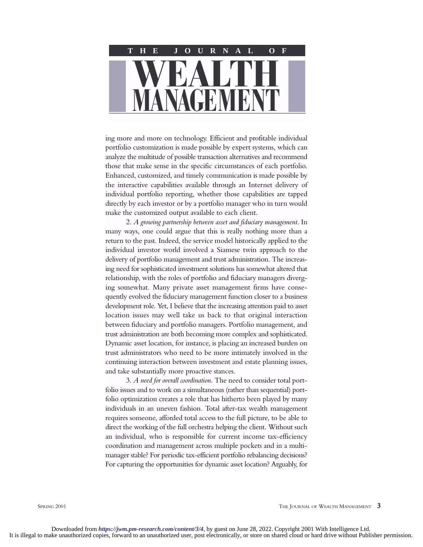

ing more and more on technology. Efficient and profitable individual portfolio customization is made possible by expert systems, which can analyze the multitude of possible transaction alternatives and recommend those that make sense in the specific circumstances of each portfolio. Enhanced, customized, and timely communication is made possible by the interactive capabilities available through an Internet delivery of individual portfolio reporting, whether those capabilities are tapped directly by each investor or by a portfolio manager who in turn would make the customized output available to each client.

2. *A growing partnership between asset and fiduciary management*. In many ways, one could argue that this is really nothing more than a return to the past. Indeed, the service model historically applied to the individual investor world involved a Siamese twin approach to the delivery of portfolio management and trust administration. The increasing need for sophisticated investment solutions has somewhat altered that relationship, with the roles of portfolio and fiduciary managers diverging somewhat. Many private asset management firms have consequently evolved the fiduciary management function closer to a business development role. Yet, I believe that the increasing attention paid to asset location issues may well take us back to that original interaction between fiduciary and portfolio managers. Portfolio management, and trust administration are both becoming more complex and sophisticated. Dynamic asset location, for instance, is placing an increased burden on trust administrators who need to be more intimately involved in the continuing interaction between investment and estate planning issues, and take substantially more proactive stances.

3. *A need for overall coordination*. The need to consider total portfolio issues and to work on a simultaneous (rather than sequential) portfolio optimization creates a role that has hitherto been played by many individuals in an uneven fashion. Total after-tax wealth management requires someone, afforded total access to the full picture, to be able to direct the working of the full orchestra helping the client. Without such an individual, who is responsible for current income tax-efficiency coordination and management across multiple pockets and in a multimanager stable? For periodic tax-efficient portfolio rebalancing decisions? For capturing the opportunities for dynamic asset location? Arguably, for

SPRING 2001 **THE JOURNAL OF WEALTH MANAGEMENT 3**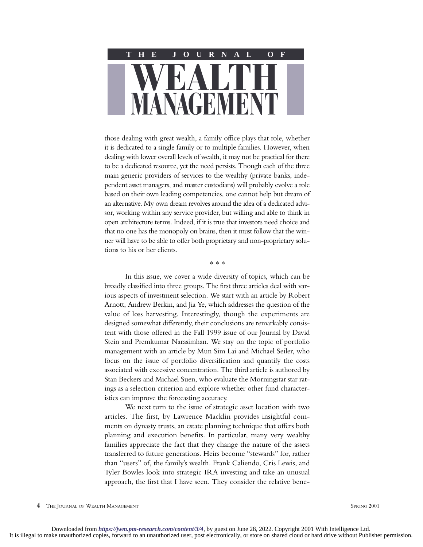

those dealing with great wealth, a family office plays that role, whether it is dedicated to a single family or to multiple families. However, when dealing with lower overall levels of wealth, it may not be practical for there to be a dedicated resource, yet the need persists. Though each of the three main generic providers of services to the wealthy (private banks, independent asset managers, and master custodians) will probably evolve a role based on their own leading competencies, one cannot help but dream of an alternative. My own dream revolves around the idea of a dedicated advisor, working within any service provider, but willing and able to think in open architecture terms. Indeed, if it is true that investors need choice and that no one has the monopoly on brains, then it must follow that the winner will have to be able to offer both proprietary and non-proprietary solutions to his or her clients.

∗∗∗

In this issue, we cover a wide diversity of topics, which can be broadly classified into three groups. The first three articles deal with various aspects of investment selection. We start with an article by Robert Arnott, Andrew Berkin, and Jia Ye, which addresses the question of the value of loss harvesting. Interestingly, though the experiments are designed somewhat differently, their conclusions are remarkably consistent with those offered in the Fall 1999 issue of our Journal by David Stein and Premkumar Narasimhan. We stay on the topic of portfolio management with an article by Mun Sim Lai and Michael Seiler, who focus on the issue of portfolio diversification and quantify the costs associated with excessive concentration. The third article is authored by Stan Beckers and Michael Suen, who evaluate the Morningstar star ratings as a selection criterion and explore whether other fund characteristics can improve the forecasting accuracy.

We next turn to the issue of strategic asset location with two articles. The first, by Lawrence Macklin provides insightful comments on dynasty trusts, an estate planning technique that offers both planning and execution benefits. In particular, many very wealthy families appreciate the fact that they change the nature of the assets transferred to future generations. Heirs become "stewards" for, rather than "users" of, the family's wealth. Frank Caliendo, Cris Lewis, and Tyler Bowles look into strategic IRA investing and take an unusual approach, the first that I have seen. They consider the relative bene-